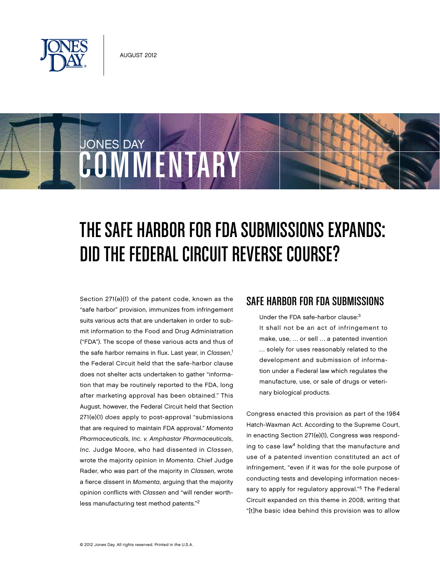

COMMENTARY

JONES DAY

# The Safe Harbor for FDA Submissions Expands: DID THE FEDERAL CIRCUIT REVERSE COURSE?

Section 271(e)(1) of the patent code, known as the "safe harbor" provision, immunizes from infringement suits various acts that are undertaken in order to submit information to the Food and Drug Administration ("FDA"). The scope of these various acts and thus of the safe harbor remains in flux. Last year, in Classen,<sup>1</sup> the Federal Circuit held that the safe-harbor clause does not shelter acts undertaken to gather "information that may be routinely reported to the FDA, long after marketing approval has been obtained." This August, however, the Federal Circuit held that Section 271(e)(1) does apply to post-approval "submissions that are required to maintain FDA approval." Momenta Pharmaceuticals, Inc. v. Amphastar Pharmaceuticals, Inc. Judge Moore, who had dissented in Classen, wrote the majority opinion in Momenta. Chief Judge Rader, who was part of the majority in Classen, wrote a fierce dissent in Momenta, arguing that the majority opinion conflicts with Classen and "will render worthless manufacturing test method patents."2

### Safe Harbor for FDA Submissions

Under the FDA safe-harbor clause:3 It shall not be an act of infringement to make, use, … or sell … a patented invention … solely for uses reasonably related to the development and submission of information under a Federal law which regulates the manufacture, use, or sale of drugs or veterinary biological products.

Congress enacted this provision as part of the 1984 Hatch-Waxman Act. According to the Supreme Court, in enacting Section 271(e)(1), Congress was responding to case law<sup>4</sup> holding that the manufacture and use of a patented invention constituted an act of infringement, "even if it was for the sole purpose of conducting tests and developing information necessary to apply for regulatory approval."<sup>5</sup> The Federal Circuit expanded on this theme in 2008, writing that "[t]he basic idea behind this provision was to allow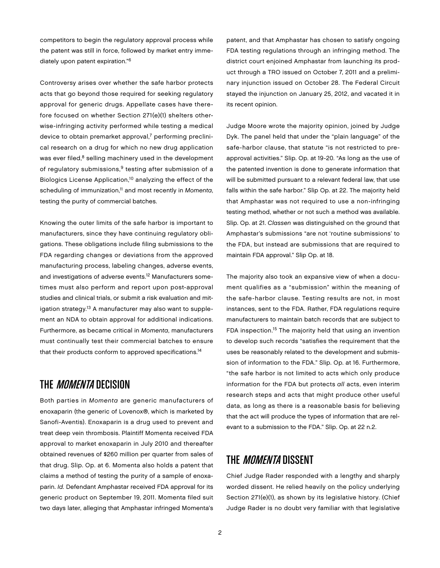competitors to begin the regulatory approval process while the patent was still in force, followed by market entry immediately upon patent expiration."6

Controversy arises over whether the safe harbor protects acts that go beyond those required for seeking regulatory approval for generic drugs. Appellate cases have therefore focused on whether Section 271(e)(1) shelters otherwise-infringing activity performed while testing a medical device to obtain premarket approval, $^7$  performing preclinical research on a drug for which no new drug application was ever filed,<sup>8</sup> selling machinery used in the development of regulatory submissions,<sup>9</sup> testing after submission of a Biologics License Application,10 analyzing the effect of the scheduling of immunization,<sup>11</sup> and most recently in Momenta, testing the purity of commercial batches.

Knowing the outer limits of the safe harbor is important to manufacturers, since they have continuing regulatory obligations. These obligations include filing submissions to the FDA regarding changes or deviations from the approved manufacturing process, labeling changes, adverse events, and investigations of adverse events.12 Manufacturers sometimes must also perform and report upon post-approval studies and clinical trials, or submit a risk evaluation and mitigation strategy.<sup>13</sup> A manufacturer may also want to supplement an NDA to obtain approval for additional indications. Furthermore, as became critical in Momenta, manufacturers must continually test their commercial batches to ensure that their products conform to approved specifications.<sup>14</sup>

## THE *MOMENTA* DECISION

Both parties in Momenta are generic manufacturers of enoxaparin (the generic of Lovenox®, which is marketed by Sanofi-Aventis). Enoxaparin is a drug used to prevent and treat deep vein thrombosis. Plaintiff Momenta received FDA approval to market enoxaparin in July 2010 and thereafter obtained revenues of \$260 million per quarter from sales of that drug. Slip. Op. at 6. Momenta also holds a patent that claims a method of testing the purity of a sample of enoxaparin. Id. Defendant Amphastar received FDA approval for its generic product on September 19, 2011. Momenta filed suit two days later, alleging that Amphastar infringed Momenta's

patent, and that Amphastar has chosen to satisfy ongoing FDA testing regulations through an infringing method. The district court enjoined Amphastar from launching its product through a TRO issued on October 7, 2011 and a preliminary injunction issued on October 28. The Federal Circuit stayed the injunction on January 25, 2012, and vacated it in its recent opinion.

Judge Moore wrote the majority opinion, joined by Judge Dyk. The panel held that under the "plain language" of the safe-harbor clause, that statute "is not restricted to preapproval activities." Slip. Op. at 19-20. "As long as the use of the patented invention is done to generate information that will be submitted pursuant to a relevant federal law, that use falls within the safe harbor." Slip Op. at 22. The majority held that Amphastar was not required to use a non-infringing testing method, whether or not such a method was available. Slip. Op. at 21. Classen was distinguished on the ground that Amphastar's submissions "are not 'routine submissions' to the FDA, but instead are submissions that are required to maintain FDA approval." Slip Op. at 18.

The majority also took an expansive view of when a document qualifies as a "submission" within the meaning of the safe-harbor clause. Testing results are not, in most instances, sent to the FDA. Rather, FDA regulations require manufacturers to maintain batch records that are subject to FDA inspection.15 The majority held that using an invention to develop such records "satisfies the requirement that the uses be reasonably related to the development and submission of information to the FDA." Slip. Op. at 16. Furthermore, "the safe harbor is not limited to acts which only produce information for the FDA but protects all acts, even interim research steps and acts that might produce other useful data, as long as there is a reasonable basis for believing that the act will produce the types of information that are relevant to a submission to the FDA." Slip. Op. at 22 n.2.

## THE *MOMENTA* DISSENT

Chief Judge Rader responded with a lengthy and sharply worded dissent. He relied heavily on the policy underlying Section 271(e)(1), as shown by its legislative history. (Chief Judge Rader is no doubt very familiar with that legislative